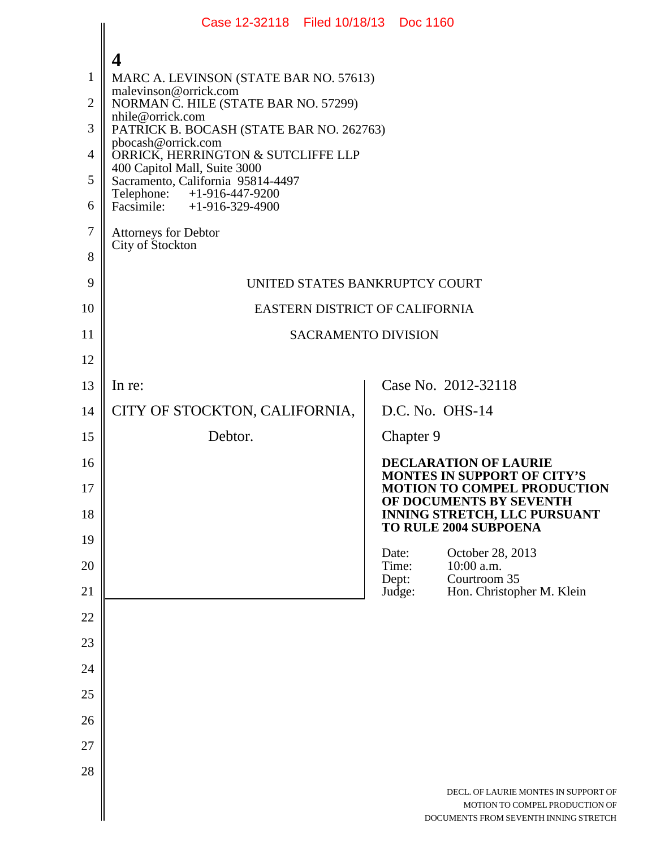|                                                                   | Case 12-32118 Filed 10/18/13 Doc 1160                                                                                                                                                                                                                                                                                                                                                                                          |                          |                                                                                                                 |
|-------------------------------------------------------------------|--------------------------------------------------------------------------------------------------------------------------------------------------------------------------------------------------------------------------------------------------------------------------------------------------------------------------------------------------------------------------------------------------------------------------------|--------------------------|-----------------------------------------------------------------------------------------------------------------|
| $\mathbf{1}$<br>$\overline{2}$<br>3<br>4<br>5<br>6<br>$\tau$<br>8 | 4<br>MARC A. LEVINSON (STATE BAR NO. 57613)<br>malevinson@orrick.com<br>NORMAN C. HILE (STATE BAR NO. 57299)<br>nhile@orrick.com<br>PATRICK B. BOCASH (STATE BAR NO. 262763)<br>pbocash@orrick.com<br>ORRICK, HERRINGTON & SUTCLIFFE LLP<br>400 Capitol Mall, Suite 3000<br>Sacramento, California 95814-4497<br>Telephone: +1-916-447-9200<br>Facsimile: $+1-916-329-4900$<br><b>Attorneys for Debtor</b><br>City of Stockton |                          |                                                                                                                 |
| 9                                                                 | UNITED STATES BANKRUPTCY COURT                                                                                                                                                                                                                                                                                                                                                                                                 |                          |                                                                                                                 |
| 10                                                                | EASTERN DISTRICT OF CALIFORNIA                                                                                                                                                                                                                                                                                                                                                                                                 |                          |                                                                                                                 |
| 11                                                                | <b>SACRAMENTO DIVISION</b>                                                                                                                                                                                                                                                                                                                                                                                                     |                          |                                                                                                                 |
| 12                                                                |                                                                                                                                                                                                                                                                                                                                                                                                                                |                          |                                                                                                                 |
| 13                                                                | In re:                                                                                                                                                                                                                                                                                                                                                                                                                         |                          | Case No. 2012-32118                                                                                             |
| 14                                                                | CITY OF STOCKTON, CALIFORNIA,                                                                                                                                                                                                                                                                                                                                                                                                  | D.C. No. OHS-14          |                                                                                                                 |
| 15                                                                | Debtor.                                                                                                                                                                                                                                                                                                                                                                                                                        | Chapter 9                |                                                                                                                 |
| 16<br>17                                                          |                                                                                                                                                                                                                                                                                                                                                                                                                                |                          | <b>DECLARATION OF LAURIE</b><br><b>MONTES IN SUPPORT OF CITY'S</b><br><b>MOTION TO COMPEL PRODUCTION</b>        |
| 18                                                                |                                                                                                                                                                                                                                                                                                                                                                                                                                |                          | OF DOCUMENTS BY SEVENTH<br>INNING STRETCH, LLC PURSUANT<br>TO RULE 2004 SUBPOENA                                |
| 19                                                                |                                                                                                                                                                                                                                                                                                                                                                                                                                | Date:                    | October 28, 2013                                                                                                |
| 20<br>21                                                          |                                                                                                                                                                                                                                                                                                                                                                                                                                | Time:<br>Dept:<br>Judge: | 10:00 a.m.<br>Courtroom 35<br>Hon. Christopher M. Klein                                                         |
| 22                                                                |                                                                                                                                                                                                                                                                                                                                                                                                                                |                          |                                                                                                                 |
| 23                                                                |                                                                                                                                                                                                                                                                                                                                                                                                                                |                          |                                                                                                                 |
| 24                                                                |                                                                                                                                                                                                                                                                                                                                                                                                                                |                          |                                                                                                                 |
| 25                                                                |                                                                                                                                                                                                                                                                                                                                                                                                                                |                          |                                                                                                                 |
| 26                                                                |                                                                                                                                                                                                                                                                                                                                                                                                                                |                          |                                                                                                                 |
| 27                                                                |                                                                                                                                                                                                                                                                                                                                                                                                                                |                          |                                                                                                                 |
| 28                                                                |                                                                                                                                                                                                                                                                                                                                                                                                                                |                          |                                                                                                                 |
|                                                                   |                                                                                                                                                                                                                                                                                                                                                                                                                                |                          | DECL. OF LAURIE MONTES IN SUPPORT OF<br>MOTION TO COMPEL PRODUCTION OF<br>DOCUMENTS FROM SEVENTH INNING STRETCH |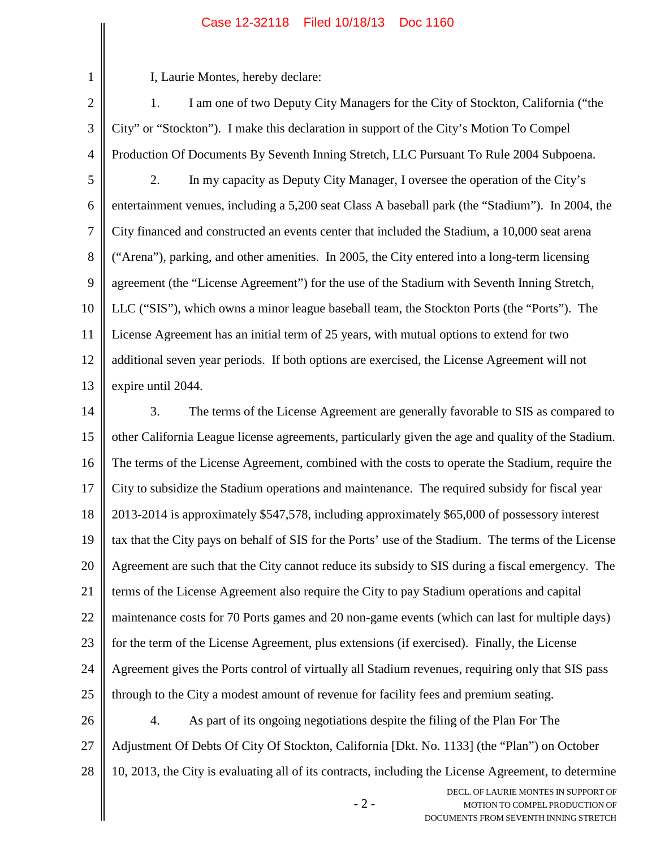## Case 12-32118 Filed 10/18/13 Doc 1160

I, Laurie Montes, hereby declare:

1

2 3 4 5 6 7 8 9 10 11 12 13 1. I am one of two Deputy City Managers for the City of Stockton, California ("the City" or "Stockton"). I make this declaration in support of the City's Motion To Compel Production Of Documents By Seventh Inning Stretch, LLC Pursuant To Rule 2004 Subpoena. 2. In my capacity as Deputy City Manager, I oversee the operation of the City's entertainment venues, including a 5,200 seat Class A baseball park (the "Stadium"). In 2004, the City financed and constructed an events center that included the Stadium, a 10,000 seat arena ("Arena"), parking, and other amenities. In 2005, the City entered into a long-term licensing agreement (the "License Agreement") for the use of the Stadium with Seventh Inning Stretch, LLC ("SIS"), which owns a minor league baseball team, the Stockton Ports (the "Ports"). The License Agreement has an initial term of 25 years, with mutual options to extend for two additional seven year periods. If both options are exercised, the License Agreement will not expire until 2044.

14 15 16 17 18 19 20 21 22 23 24 25 26 3. The terms of the License Agreement are generally favorable to SIS as compared to other California League license agreements, particularly given the age and quality of the Stadium. The terms of the License Agreement, combined with the costs to operate the Stadium, require the City to subsidize the Stadium operations and maintenance. The required subsidy for fiscal year 2013-2014 is approximately \$547,578, including approximately \$65,000 of possessory interest tax that the City pays on behalf of SIS for the Ports' use of the Stadium. The terms of the License Agreement are such that the City cannot reduce its subsidy to SIS during a fiscal emergency. The terms of the License Agreement also require the City to pay Stadium operations and capital maintenance costs for 70 Ports games and 20 non-game events (which can last for multiple days) for the term of the License Agreement, plus extensions (if exercised). Finally, the License Agreement gives the Ports control of virtually all Stadium revenues, requiring only that SIS pass through to the City a modest amount of revenue for facility fees and premium seating. 4. As part of its ongoing negotiations despite the filing of the Plan For The

27 Adjustment Of Debts Of City Of Stockton, California [Dkt. No. 1133] (the "Plan") on October

28 10, 2013, the City is evaluating all of its contracts, including the License Agreement, to determine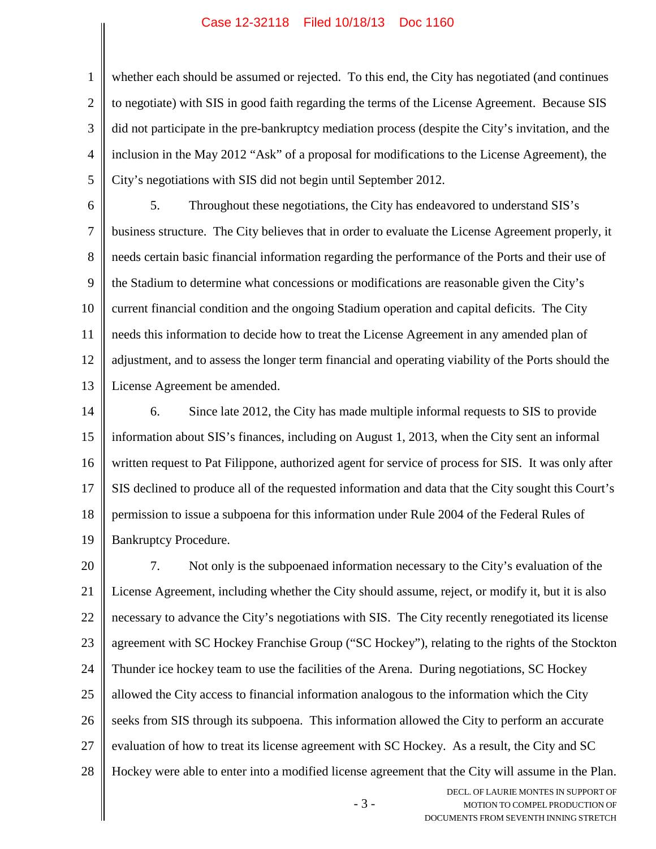## Case 12-32118 Filed 10/18/13 Doc 1160

1

2 3 4 5 whether each should be assumed or rejected. To this end, the City has negotiated (and continues to negotiate) with SIS in good faith regarding the terms of the License Agreement. Because SIS did not participate in the pre-bankruptcy mediation process (despite the City's invitation, and the inclusion in the May 2012 "Ask" of a proposal for modifications to the License Agreement), the City's negotiations with SIS did not begin until September 2012.

6 7 8 9 10 11 12 13 5. Throughout these negotiations, the City has endeavored to understand SIS's business structure. The City believes that in order to evaluate the License Agreement properly, it needs certain basic financial information regarding the performance of the Ports and their use of the Stadium to determine what concessions or modifications are reasonable given the City's current financial condition and the ongoing Stadium operation and capital deficits. The City needs this information to decide how to treat the License Agreement in any amended plan of adjustment, and to assess the longer term financial and operating viability of the Ports should the License Agreement be amended.

14 15 16 17 18 19 6. Since late 2012, the City has made multiple informal requests to SIS to provide information about SIS's finances, including on August 1, 2013, when the City sent an informal written request to Pat Filippone, authorized agent for service of process for SIS. It was only after SIS declined to produce all of the requested information and data that the City sought this Court's permission to issue a subpoena for this information under Rule 2004 of the Federal Rules of Bankruptcy Procedure.

20 21 22 23 24 25 26 27 28 7. Not only is the subpoenaed information necessary to the City's evaluation of the License Agreement, including whether the City should assume, reject, or modify it, but it is also necessary to advance the City's negotiations with SIS. The City recently renegotiated its license agreement with SC Hockey Franchise Group ("SC Hockey"), relating to the rights of the Stockton Thunder ice hockey team to use the facilities of the Arena. During negotiations, SC Hockey allowed the City access to financial information analogous to the information which the City seeks from SIS through its subpoena. This information allowed the City to perform an accurate evaluation of how to treat its license agreement with SC Hockey. As a result, the City and SC Hockey were able to enter into a modified license agreement that the City will assume in the Plan.